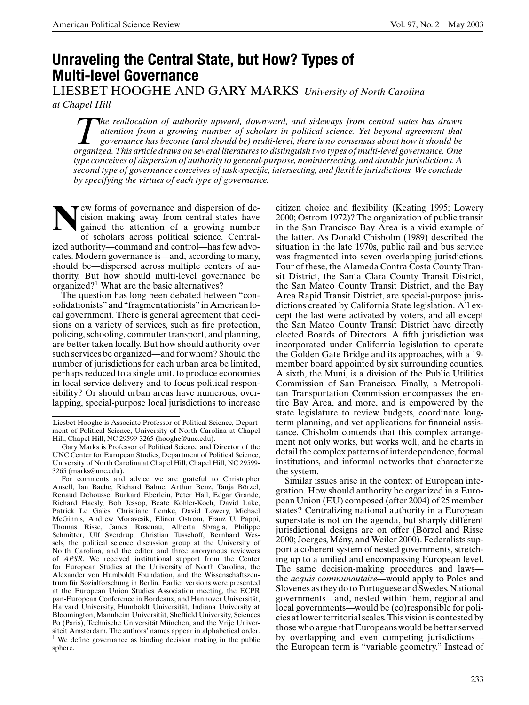# **Unraveling the Central State, but How? Types of Multi-level Governance**

LIESBET HOOGHE AND GARY MARKS *University of North Carolina at Chapel Hill*

**The reallocation of authority upward, downward, and sideways from central states has drawn** attention from a growing number of scholars in political science. Yet beyond agreement that governance has become (and should be) *attention from a growing number of scholars in political science. Yet beyond agreement that governance has become (and should be) multi-level, there is no consensus about how it should be organized. This article draws on several literatures to distinguish two types of multi-level governance. One type conceives of dispersion of authority to general-purpose, nonintersecting, and durable jurisdictions. A second type of governance conceives of task-specific, intersecting, and flexible jurisdictions. We conclude by specifying the virtues of each type of governance.*

**New forms of governance and dispersion of de-**<br>gained the attention of a growing number<br>of scholars across political science. Centralcision making away from central states have gained the attention of a growing number of scholars across political science. Centralized authority—command and control—has few advocates. Modern governance is—and, according to many, should be—dispersed across multiple centers of authority. But how should multi-level governance be organized?<sup>1</sup> What are the basic alternatives?

The question has long been debated between "consolidationists" and "fragmentationists" in American local government. There is general agreement that decisions on a variety of services, such as fire protection, policing, schooling, commuter transport, and planning, are better taken locally. But how should authority over such services be organized—and for whom? Should the number of jurisdictions for each urban area be limited, perhaps reduced to a single unit, to produce economies in local service delivery and to focus political responsibility? Or should urban areas have numerous, overlapping, special-purpose local jurisdictions to increase citizen choice and flexibility (Keating 1995; Lowery 2000; Ostrom 1972)? The organization of public transit in the San Francisco Bay Area is a vivid example of the latter. As Donald Chisholm (1989) described the situation in the late 1970s, public rail and bus service was fragmented into seven overlapping jurisdictions. Four of these, the Alameda Contra Costa County Transit District, the Santa Clara County Transit District, the San Mateo County Transit District, and the Bay Area Rapid Transit District, are special-purpose jurisdictions created by California State legislation. All except the last were activated by voters, and all except the San Mateo County Transit District have directly elected Boards of Directors. A fifth jurisdiction was incorporated under California legislation to operate the Golden Gate Bridge and its approaches, with a 19 member board appointed by six surrounding counties. A sixth, the Muni, is a division of the Public Utilities Commission of San Francisco. Finally, a Metropolitan Transportation Commission encompasses the entire Bay Area, and more, and is empowered by the state legislature to review budgets, coordinate longterm planning, and vet applications for financial assistance. Chisholm contends that this complex arrangement not only works, but works well, and he charts in detail the complex patterns of interdependence, formal institutions, and informal networks that characterize the system.

Similar issues arise in the context of European integration. How should authority be organized in a European Union (EU) composed (after 2004) of 25 member states? Centralizing national authority in a European superstate is not on the agenda, but sharply different jurisdictional designs are on offer (Börzel and Risse 2000; Joerges, Mény, and Weiler 2000). Federalists support a coherent system of nested governments, stretching up to a unified and encompassing European level. The same decision-making procedures and laws the *acquis communautaire*—would apply to Poles and Slovenes as they do to Portuguese and Swedes. National governments—and, nested within them, regional and local governments—would be (co)responsible for policies at lower territorial scales. This vision is contested by those who argue that Europeans would be better served by overlapping and even competing jurisdictions the European term is "variable geometry." Instead of

Liesbet Hooghe is Associate Professor of Political Science, Department of Political Science, University of North Carolina at Chapel Hill, Chapel Hill, NC 29599-3265 (hooghe@unc.edu).

Gary Marks is Professor of Political Science and Director of the UNC Center for European Studies, Department of Political Science, University of North Carolina at Chapel Hill, Chapel Hill, NC 29599- 3265 (marks@unc.edu).

For comments and advice we are grateful to Christopher Ansell, Ian Bache, Richard Balme, Arthur Benz, Tanja Börzel, Renaud Dehousse, Burkard Eberlein, Peter Hall, Edgar Grande, Richard Haesly, Bob Jessop, Beate Kohler-Koch, David Lake, Patrick Le Galès, Christiane Lemke, David Lowery, Michael McGinnis, Andrew Moravcsik, Elinor Ostrom, Franz U. Pappi, Thomas Risse, James Rosenau, Alberta Sbragia, Philippe Schmitter, Ulf Sverdrup, Christian Tusschoff, Bernhard Wessels, the political science discussion group at the University of North Carolina, and the editor and three anonymous reviewers of *APSR*. We received institutional support from the Center for European Studies at the University of North Carolina, the Alexander von Humboldt Foundation, and the Wissenschaftszentrum für Sozialforschung in Berlin. Earlier versions were presented at the European Union Studies Association meeting, the ECPR pan-European Conference in Bordeaux, and Hannover Universität, Harvard University, Humboldt Universität, Indiana University at Bloomington, Mannheim Universität, Sheffield University, Sciences Po (Paris), Technische Universität München, and the Vrije Universiteit Amsterdam. The authors' names appear in alphabetical order.  $1$  We define governance as binding decision making in the public sphere.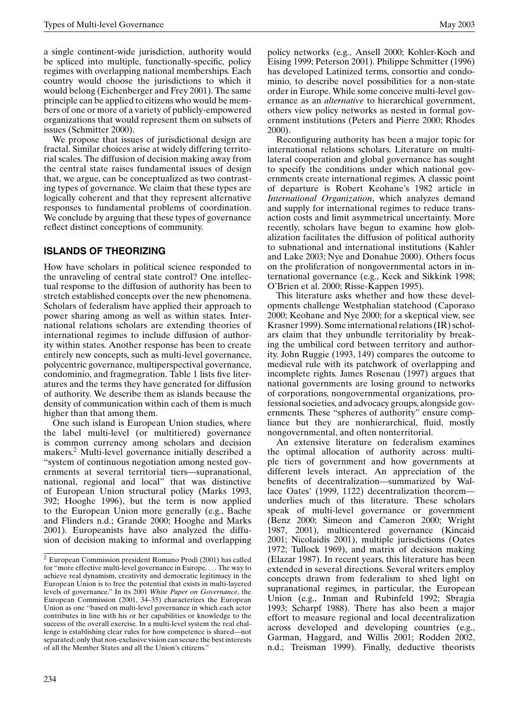a single continent-wide jurisdiction, authority would be spliced into multiple, functionally-specific, policy regimes with overlapping national memberships. Each country would choose the jurisdictions to which it would belong (Eichenberger and Frey 2001). The same principle can be applied to citizens who would be members of one or more of a variety of publicly-empowered organizations that would represent them on subsets of issues (Schmitter 2000).

We propose that issues of jurisdictional design are fractal. Similar choices arise at widely differing territorial scales. The diffusion of decision making away from the central state raises fundamental issues of design that, we argue, can be conceptualized as two contrasting types of governance. We claim that these types are logically coherent and that they represent alternative responses to fundamental problems of coordination. We conclude by arguing that these types of governance reflect distinct conceptions of community.

# **ISLANDS OF THEORIZING**

How have scholars in political science responded to the unraveling of central state control? One intellectual response to the diffusion of authority has been to stretch established concepts over the new phenomena. Scholars of federalism have applied their approach to power sharing among as well as within states. International relations scholars are extending theories of international regimes to include diffusion of authority within states. Another response has been to create entirely new concepts, such as multi-level governance, polycentric governance, multiperspectival governance, condominio, and fragmegration. Table 1 lists five literatures and the terms they have generated for diffusion of authority. We describe them as islands because the density of communication within each of them is much higher than that among them.

One such island is European Union studies, where the label multi-level (or multitiered) governance is common currency among scholars and decision makers.<sup>2</sup> Multi-level governance initially described a "system of continuous negotiation among nested governments at several territorial tiers—supranational, national, regional and local" that was distinctive of European Union structural policy (Marks 1993, 392; Hooghe 1996), but the term is now applied to the European Union more generally (e.g., Bache and Flinders n.d.; Grande 2000; Hooghe and Marks 2001). Europeanists have also analyzed the diffusion of decision making to informal and overlapping

policy networks (e.g., Ansell 2000; Kohler-Koch and Eising 1999; Peterson 2001). Philippe Schmitter (1996) has developed Latinized terms, consortio and condominio, to describe novel possibilities for a non-state order in Europe. While some conceive multi-level governance as an *alternative* to hierarchical government, others view policy networks as nested in formal government institutions (Peters and Pierre 2000; Rhodes 2000).

Reconfiguring authority has been a major topic for international relations scholars. Literature on multilateral cooperation and global governance has sought to specify the conditions under which national governments create international regimes. A classic point of departure is Robert Keohane's 1982 article in *International Organization*, which analyzes demand and supply for international regimes to reduce transaction costs and limit asymmetrical uncertainty. More recently, scholars have begun to examine how globalization facilitates the diffusion of political authority to subnational and international institutions (Kahler and Lake 2003; Nye and Donahue 2000). Others focus on the proliferation of nongovernmental actors in international governance (e.g., Keck and Sikkink 1998; O'Brien et al. 2000; Risse-Kappen 1995).

This literature asks whether and how these developments challenge Westphalian statehood (Caporaso 2000; Keohane and Nye 2000; for a skeptical view, see Krasner 1999). Some international relations (IR) scholars claim that they unbundle territoriality by breaking the umbilical cord between territory and authority. John Ruggie (1993, 149) compares the outcome to medieval rule with its patchwork of overlapping and incomplete rights. James Rosenau (1997) argues that national governments are losing ground to networks of corporations, nongovernmental organizations, professional societies, and advocacy groups, alongside governments. These "spheres of authority" ensure compliance but they are nonhierarchical, fluid, mostly nongovernmental, and often nonterritorial.

An extensive literature on federalism examines the optimal allocation of authority across multiple tiers of government and how governments at different levels interact. An appreciation of the benefits of decentralization—summarized by Wallace Oates' (1999, 1122) decentralization theorem underlies much of this literature. These scholars speak of multi-level governance or government (Benz 2000; Simeon and Cameron 2000; Wright 1987, 2001), multicentered governance (Kincaid 2001; Nicolaidis 2001), multiple jurisdictions (Oates 1972; Tullock 1969), and matrix of decision making (Elazar 1987). In recent years, this literature has been extended in several directions. Several writers employ concepts drawn from federalism to shed light on supranational regimes, in particular, the European Union (e.g., Inman and Rubinfeld 1992; Sbragia 1993; Scharpf 1988). There has also been a major effort to measure regional and local decentralization across developed and developing countries (e.g., Garman, Haggard, and Willis 2001; Rodden 2002, n.d.; Treisman 1999). Finally, deductive theorists

<sup>2</sup> European Commission president Romano Prodi (2001) has called for "more effective multi-level governance in Europe. ... The way to achieve real dynamism, creativity and democratic legitimacy in the European Union is to free the potential that exists in multi-layered levels of governance." In its 2001 *White Paper on Governance*, the European Commission (2001, 34–35) characterizes the European Union as one "based on multi-level governance in which each actor contributes in line with his or her capabilities or knowledge to the success of the overall exercise. In a multi-level system the real challenge is establishing clear rules for how competence is shared—not separated; only that non-exclusive vision can secure the best interests of all the Member States and all the Union's citizens."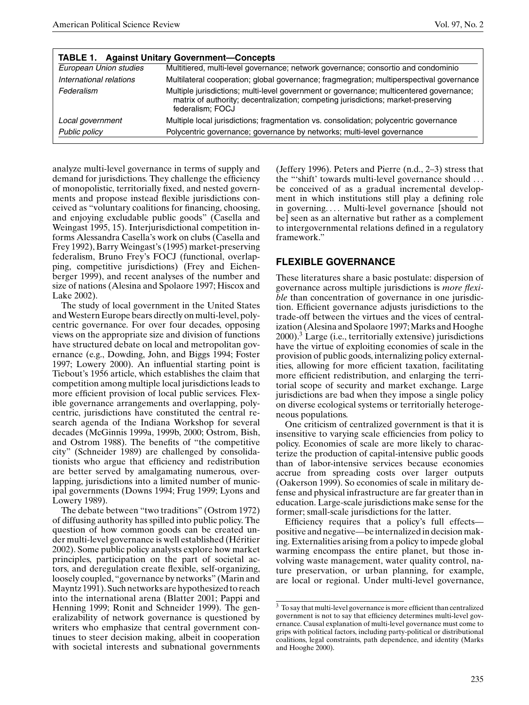| <b>TABLE 1. Against Unitary Government-Concepts</b>                                                                                                                                              |  |  |
|--------------------------------------------------------------------------------------------------------------------------------------------------------------------------------------------------|--|--|
| Multitiered, multi-level governance; network governance; consortio and condominio                                                                                                                |  |  |
| Multilateral cooperation; global governance; fragmegration; multiperspectival governance                                                                                                         |  |  |
| Multiple jurisdictions; multi-level government or governance; multicentered governance;<br>matrix of authority; decentralization; competing jurisdictions; market-preserving<br>federalism; FOCJ |  |  |
| Multiple local jurisdictions; fragmentation vs. consolidation; polycentric governance                                                                                                            |  |  |
| Polycentric governance; governance by networks; multi-level governance                                                                                                                           |  |  |
|                                                                                                                                                                                                  |  |  |

analyze multi-level governance in terms of supply and demand for jurisdictions. They challenge the efficiency of monopolistic, territorially fixed, and nested governments and propose instead flexible jurisdictions conceived as "voluntary coalitions for financing, choosing, and enjoying excludable public goods" (Casella and Weingast 1995, 15). Interjurisdictional competition informs Alessandra Casella's work on clubs (Casella and Frey 1992), Barry Weingast's (1995) market-preserving federalism, Bruno Frey's FOCJ (functional, overlapping, competitive jurisdictions) (Frey and Eichenberger 1999), and recent analyses of the number and size of nations (Alesina and Spolaore 1997; Hiscox and Lake 2002).

The study of local government in the United States and Western Europe bears directly on multi-level, polycentric governance. For over four decades, opposing views on the appropriate size and division of functions have structured debate on local and metropolitan governance (e.g., Dowding, John, and Biggs 1994; Foster 1997; Lowery 2000). An influential starting point is Tiebout's 1956 article, which establishes the claim that competition among multiple local jurisdictions leads to more efficient provision of local public services. Flexible governance arrangements and overlapping, polycentric, jurisdictions have constituted the central research agenda of the Indiana Workshop for several decades (McGinnis 1999a, 1999b, 2000; Ostrom, Bish, and Ostrom 1988). The benefits of "the competitive city" (Schneider 1989) are challenged by consolidationists who argue that efficiency and redistribution are better served by amalgamating numerous, overlapping, jurisdictions into a limited number of municipal governments (Downs 1994; Frug 1999; Lyons and Lowery 1989).

The debate between "two traditions" (Ostrom 1972) of diffusing authority has spilled into public policy. The question of how common goods can be created under multi-level governance is well established (Heritier ´ 2002). Some public policy analysts explore how market principles, participation on the part of societal actors, and deregulation create flexible, self-organizing, loosely coupled, "governance by networks" (Marin and Mayntz 1991). Such networks are hypothesized to reach into the international arena (Blatter 2001; Pappi and Henning 1999; Ronit and Schneider 1999). The generalizability of network governance is questioned by writers who emphasize that central government continues to steer decision making, albeit in cooperation with societal interests and subnational governments (Jeffery 1996). Peters and Pierre (n.d., 2–3) stress that the "'shift' towards multi-level governance should ... be conceived of as a gradual incremental development in which institutions still play a defining role in governing.... Multi-level governance [should not be] seen as an alternative but rather as a complement to intergovernmental relations defined in a regulatory framework."

# **FLEXIBLE GOVERNANCE**

These literatures share a basic postulate: dispersion of governance across multiple jurisdictions is *more flexible* than concentration of governance in one jurisdiction. Efficient governance adjusts jurisdictions to the trade-off between the virtues and the vices of centralization (Alesina and Spolaore 1997; Marks and Hooghe 2000).<sup>3</sup> Large (i.e., territorially extensive) jurisdictions have the virtue of exploiting economies of scale in the provision of public goods, internalizing policy externalities, allowing for more efficient taxation, facilitating more efficient redistribution, and enlarging the territorial scope of security and market exchange. Large jurisdictions are bad when they impose a single policy on diverse ecological systems or territorially heterogeneous populations.

One criticism of centralized government is that it is insensitive to varying scale efficiencies from policy to policy. Economies of scale are more likely to characterize the production of capital-intensive public goods than of labor-intensive services because economies accrue from spreading costs over larger outputs (Oakerson 1999). So economies of scale in military defense and physical infrastructure are far greater than in education. Large-scale jurisdictions make sense for the former; small-scale jurisdictions for the latter.

Efficiency requires that a policy's full effects positive and negative—be internalized in decision making. Externalities arising from a policy to impede global warming encompass the entire planet, but those involving waste management, water quality control, nature preservation, or urban planning, for example, are local or regional. Under multi-level governance,

<sup>&</sup>lt;sup>3</sup> To say that multi-level governance is more efficient than centralized government is not to say that efficiency determines multi-level governance. Causal explanation of multi-level governance must come to grips with political factors, including party-political or distributional coalitions, legal constraints, path dependence, and identity (Marks and Hooghe 2000).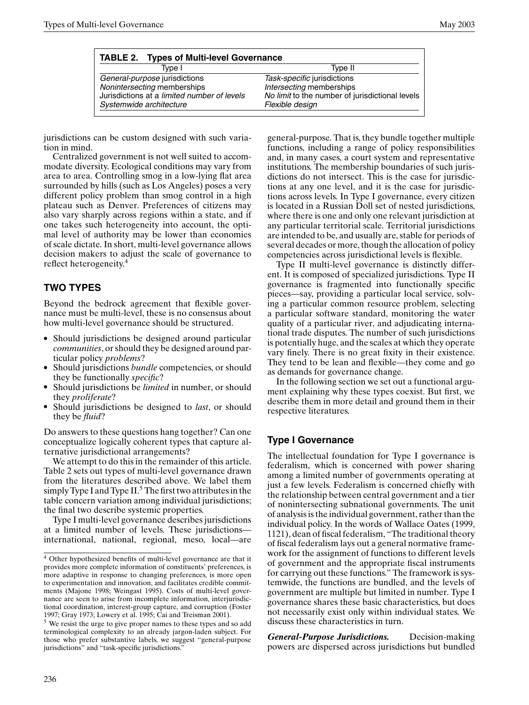| <b>Types of Multi-level Governance</b><br>TABLE 2. |                                                 |
|----------------------------------------------------|-------------------------------------------------|
| Tvpe I                                             | Type II                                         |
| General-purpose jurisdictions                      | Task-specific jurisdictions                     |
| Nonintersecting memberships                        | Intersecting memberships                        |
| Jurisdictions at a limited number of levels        | No limit to the number of jurisdictional levels |
| Systemwide architecture                            | Flexible design                                 |
|                                                    |                                                 |

jurisdictions can be custom designed with such variation in mind.

Centralized government is not well suited to accommodate diversity. Ecological conditions may vary from area to area. Controlling smog in a low-lying flat area surrounded by hills (such as Los Angeles) poses a very different policy problem than smog control in a high plateau such as Denver. Preferences of citizens may also vary sharply across regions within a state, and if one takes such heterogeneity into account, the optimal level of authority may be lower than economies of scale dictate. In short, multi-level governance allows decision makers to adjust the scale of governance to reflect heterogeneity.<sup>4</sup>

# **TWO TYPES**

Beyond the bedrock agreement that flexible governance must be multi-level, these is no consensus about how multi-level governance should be structured.

- Should jurisdictions be designed around particular *communities*, or should they be designed around par-
- ticular policy *problems*? Should jurisdictions *bundle* competencies, or should they be functionally *specific*? Should jurisdictions be *limited* in number, or should
- they *proliferate*? Should jurisdictions be designed to *last*, or should
- they be *fluid*?

Do answers to these questions hang together? Can one conceptualize logically coherent types that capture alternative jurisdictional arrangements?

We attempt to do this in the remainder of this article. Table 2 sets out types of multi-level governance drawn from the literatures described above. We label them simply Type I and Type II.<sup>5</sup> The first two attributes in the table concern variation among individual jurisdictions; the final two describe systemic properties.

Type I multi-level governance describes jurisdictions at a limited number of levels. These jurisdictions international, national, regional, meso, local—are general-purpose. That is, they bundle together multiple functions, including a range of policy responsibilities and, in many cases, a court system and representative institutions. The membership boundaries of such jurisdictions do not intersect. This is the case for jurisdictions at any one level, and it is the case for jurisdictions across levels. In Type I governance, every citizen is located in a Russian Doll set of nested jurisdictions, where there is one and only one relevant jurisdiction at any particular territorial scale. Territorial jurisdictions are intended to be, and usually are, stable for periods of several decades or more, though the allocation of policy competencies across jurisdictional levels is flexible.

Type II multi-level governance is distinctly different. It is composed of specialized jurisdictions. Type II governance is fragmented into functionally specific pieces—say, providing a particular local service, solving a particular common resource problem, selecting a particular software standard, monitoring the water quality of a particular river, and adjudicating international trade disputes. The number of such jurisdictions is potentially huge, and the scales at which they operate vary finely. There is no great fixity in their existence. They tend to be lean and flexible—they come and go as demands for governance change.

In the following section we set out a functional argument explaining why these types coexist. But first, we describe them in more detail and ground them in their respective literatures.

# **Type I Governance**

The intellectual foundation for Type I governance is federalism, which is concerned with power sharing among a limited number of governments operating at just a few levels. Federalism is concerned chiefly with the relationship between central government and a tier of nonintersecting subnational governments. The unit of analysis is the individual government, rather than the individual policy. In the words of Wallace Oates (1999, 1121), dean of fiscal federalism, "The traditional theory of fiscal federalism lays out a general normative framework for the assignment of functions to different levels of government and the appropriate fiscal instruments for carrying out these functions." The framework is systemwide, the functions are bundled, and the levels of government are multiple but limited in number. Type I governance shares these basic characteristics, but does not necessarily exist only within individual states. We discuss these characteristics in turn.

*General-Purpose Jurisdictions.* Decision-making powers are dispersed across jurisdictions but bundled

<sup>4</sup> Other hypothesized benefits of multi-level governance are that it provides more complete information of constituents' preferences, is more adaptive in response to changing preferences, is more open to experimentation and innovation, and facilitates credible commitments (Majone 1998; Weingast 1995). Costs of multi-level governance are seen to arise from incomplete information, interjurisdictional coordination, interest-group capture, and corruption (Foster 1997; Gray 1973; Lowery et al. 1995; Cai and Treisman 2001).

<sup>5</sup> We resist the urge to give proper names to these types and so add terminological complexity to an already jargon-laden subject. For those who prefer substantive labels, we suggest "general-purpose jurisdictions" and "task-specific jurisdictions."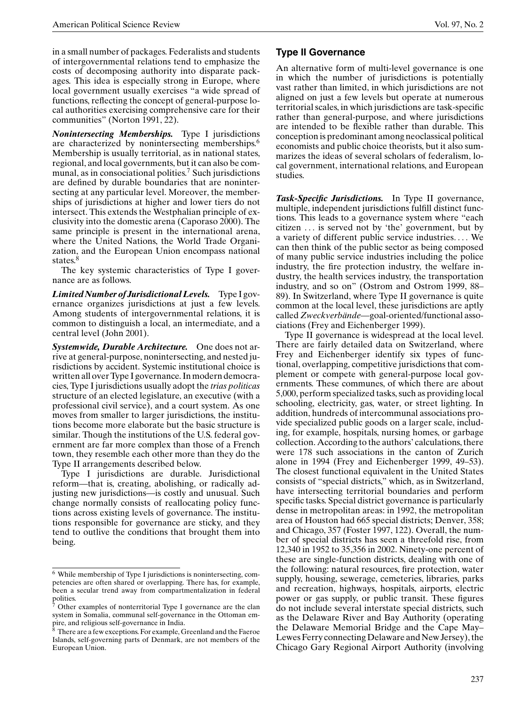in a small number of packages. Federalists and students of intergovernmental relations tend to emphasize the costs of decomposing authority into disparate packages. This idea is especially strong in Europe, where local government usually exercises "a wide spread of functions, reflecting the concept of general-purpose local authorities exercising comprehensive care for their communities" (Norton 1991, 22).

*Nonintersecting Memberships.* Type I jurisdictions are characterized by nonintersecting memberships.<sup>6</sup> Membership is usually territorial, as in national states, regional, and local governments, but it can also be communal, as in consociational polities.<sup>7</sup> Such jurisdictions are defined by durable boundaries that are nonintersecting at any particular level. Moreover, the memberships of jurisdictions at higher and lower tiers do not intersect. This extends the Westphalian principle of exclusivity into the domestic arena (Caporaso 2000). The same principle is present in the international arena, where the United Nations, the World Trade Organization, and the European Union encompass national states.<sup>8</sup>

The key systemic characteristics of Type I governance are as follows.

*Limited Number of Jurisdictional Levels.* Type I governance organizes jurisdictions at just a few levels. Among students of intergovernmental relations, it is common to distinguish a local, an intermediate, and a central level (John 2001).

*Systemwide, Durable Architecture.* One does not arrive at general-purpose, nonintersecting, and nested jurisdictions by accident. Systemic institutional choice is written all over Type I governance. In modern democracies, Type I jurisdictions usually adopt the *trias politicas* structure of an elected legislature, an executive (with a professional civil service), and a court system. As one moves from smaller to larger jurisdictions, the institutions become more elaborate but the basic structure is similar. Though the institutions of the U.S. federal government are far more complex than those of a French town, they resemble each other more than they do the Type II arrangements described below.

Type I jurisdictions are durable. Jurisdictional reform—that is, creating, abolishing, or radically adjusting new jurisdictions—is costly and unusual. Such change normally consists of reallocating policy functions across existing levels of governance. The institutions responsible for governance are sticky, and they tend to outlive the conditions that brought them into being.

# **Type II Governance**

An alternative form of multi-level governance is one in which the number of jurisdictions is potentially vast rather than limited, in which jurisdictions are not aligned on just a few levels but operate at numerous territorial scales, in which jurisdictions are task-specific rather than general-purpose, and where jurisdictions are intended to be flexible rather than durable. This conception is predominant among neoclassical political economists and public choice theorists, but it also summarizes the ideas of several scholars of federalism, local government, international relations, and European studies.

*Task-Specific Jurisdictions.* In Type II governance, multiple, independent jurisdictions fulfill distinct functions. This leads to a governance system where "each citizen ... is served not by 'the' government, but by a variety of different public service industries.... We can then think of the public sector as being composed of many public service industries including the police industry, the fire protection industry, the welfare industry, the health services industry, the transportation industry, and so on" (Ostrom and Ostrom 1999, 88– 89). In Switzerland, where Type II governance is quite common at the local level, these jurisdictions are aptly called *Zweckverbande ¨* —goal-oriented/functional associations (Frey and Eichenberger 1999).

Type II governance is widespread at the local level. There are fairly detailed data on Switzerland, where Frey and Eichenberger identify six types of functional, overlapping, competitive jurisdictions that complement or compete with general-purpose local governments. These communes, of which there are about 5,000, perform specialized tasks, such as providing local schooling, electricity, gas, water, or street lighting. In addition, hundreds of intercommunal associations provide specialized public goods on a larger scale, including, for example, hospitals, nursing homes, or garbage collection. According to the authors' calculations, there were 178 such associations in the canton of Zurich alone in 1994 (Frey and Eichenberger 1999, 49–53). The closest functional equivalent in the United States consists of "special districts," which, as in Switzerland, have intersecting territorial boundaries and perform specific tasks. Special district governance is particularly dense in metropolitan areas: in 1992, the metropolitan area of Houston had 665 special districts; Denver, 358; and Chicago, 357 (Foster 1997, 122). Overall, the number of special districts has seen a threefold rise, from 12,340 in 1952 to 35,356 in 2002. Ninety-one percent of these are single-function districts, dealing with one of the following: natural resources, fire protection, water supply, housing, sewerage, cemeteries, libraries, parks and recreation, highways, hospitals, airports, electric power or gas supply, or public transit. These figures do not include several interstate special districts, such as the Delaware River and Bay Authority (operating the Delaware Memorial Bridge and the Cape May– Lewes Ferry connecting Delaware and New Jersey), the Chicago Gary Regional Airport Authority (involving

<sup>6</sup> While membership of Type I jurisdictions is nonintersecting, competencies are often shared or overlapping. There has, for example, been a secular trend away from compartmentalization in federal polities.

<sup>7</sup> Other examples of nonterritorial Type I governance are the clan system in Somalia, communal self-governance in the Ottoman empire, and religious self-governance in India.

 $8$  There are a few exceptions. For example, Greenland and the Faeroe Islands, self-governing parts of Denmark, are not members of the European Union.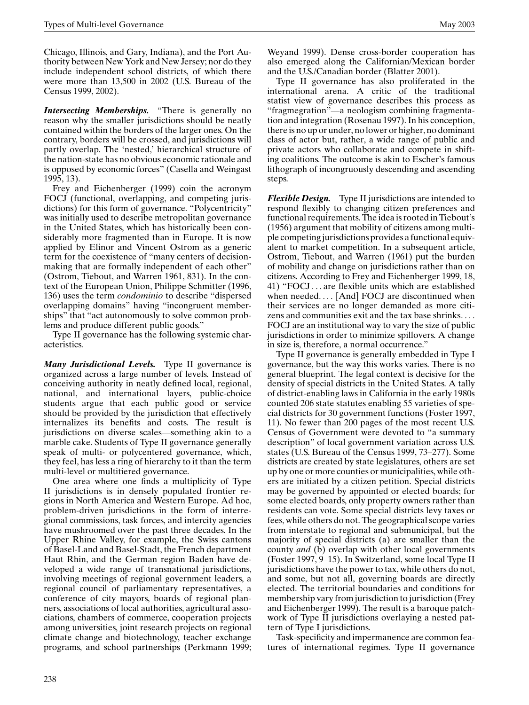Chicago, Illinois, and Gary, Indiana), and the Port Authority between New York and New Jersey; nor do they include independent school districts, of which there were more than 13,500 in 2002 (U.S. Bureau of the Census 1999, 2002).

*Intersecting Memberships.* "There is generally no reason why the smaller jurisdictions should be neatly contained within the borders of the larger ones. On the contrary, borders will be crossed, and jurisdictions will partly overlap. The 'nested,' hierarchical structure of the nation-state has no obvious economic rationale and is opposed by economic forces" (Casella and Weingast 1995, 13).

Frey and Eichenberger (1999) coin the acronym FOCJ (functional, overlapping, and competing jurisdictions) for this form of governance. "Polycentricity" was initially used to describe metropolitan governance in the United States, which has historically been considerably more fragmented than in Europe. It is now applied by Elinor and Vincent Ostrom as a generic term for the coexistence of "many centers of decisionmaking that are formally independent of each other" (Ostrom, Tiebout, and Warren 1961, 831). In the context of the European Union, Philippe Schmitter (1996, 136) uses the term *condominio* to describe "dispersed overlapping domains" having "incongruent memberships" that "act autonomously to solve common problems and produce different public goods."

Type II governance has the following systemic characteristics.

*Many Jurisdictional Levels.* Type II governance is organized across a large number of levels. Instead of conceiving authority in neatly defined local, regional, national, and international layers, public-choice students argue that each public good or service should be provided by the jurisdiction that effectively internalizes its benefits and costs. The result is jurisdictions on diverse scales—something akin to a marble cake. Students of Type II governance generally speak of multi- or polycentered governance, which, they feel, has less a ring of hierarchy to it than the term multi-level or multitiered governance.

One area where one finds a multiplicity of Type II jurisdictions is in densely populated frontier regions in North America and Western Europe. Ad hoc, problem-driven jurisdictions in the form of interregional commissions, task forces, and intercity agencies have mushroomed over the past three decades. In the Upper Rhine Valley, for example, the Swiss cantons of Basel-Land and Basel-Stadt, the French department Haut Rhin, and the German region Baden have developed a wide range of transnational jurisdictions, involving meetings of regional government leaders, a regional council of parliamentary representatives, a conference of city mayors, boards of regional planners, associations of local authorities, agricultural associations, chambers of commerce, cooperation projects among universities, joint research projects on regional climate change and biotechnology, teacher exchange programs, and school partnerships (Perkmann 1999; Weyand 1999). Dense cross-border cooperation has also emerged along the Californian/Mexican border and the U.S./Canadian border (Blatter 2001).

Type II governance has also proliferated in the international arena. A critic of the traditional statist view of governance describes this process as "fragmegration"—a neologism combining fragmentation and integration (Rosenau 1997). In his conception, there is no up or under, no lower or higher, no dominant class of actor but, rather, a wide range of public and private actors who collaborate and compete in shifting coalitions. The outcome is akin to Escher's famous lithograph of incongruously descending and ascending steps.

*Flexible Design.* Type II jurisdictions are intended to respond flexibly to changing citizen preferences and functional requirements. The idea is rooted in Tiebout's (1956) argument that mobility of citizens among multiple competing jurisdictions provides a functional equivalent to market competition. In a subsequent article, Ostrom, Tiebout, and Warren (1961) put the burden of mobility and change on jurisdictions rather than on citizens. According to Frey and Eichenberger 1999, 18, 41) "FOCJ ... are flexible units which are established when needed.... [And] FOCJ are discontinued when their services are no longer demanded as more citizens and communities exit and the tax base shrinks.... FOCJ are an institutional way to vary the size of public jurisdictions in order to minimize spillovers. A change in size is, therefore, a normal occurrence."

Type II governance is generally embedded in Type I governance, but the way this works varies. There is no general blueprint. The legal context is decisive for the density of special districts in the United States. A tally of district-enabling laws in California in the early 1980s counted 206 state statutes enabling 55 varieties of special districts for 30 government functions (Foster 1997, 11). No fewer than 200 pages of the most recent U.S. Census of Government were devoted to "a summary description" of local government variation across U.S. states (U.S. Bureau of the Census 1999, 73–277). Some districts are created by state legislatures, others are set up by one or more counties or municipalities, while others are initiated by a citizen petition. Special districts may be governed by appointed or elected boards; for some elected boards, only property owners rather than residents can vote. Some special districts levy taxes or fees, while others do not. The geographical scope varies from interstate to regional and submunicipal, but the majority of special districts (a) are smaller than the county *and* (b) overlap with other local governments (Foster 1997, 9–15). In Switzerland, some local Type II jurisdictions have the power to tax, while others do not, and some, but not all, governing boards are directly elected. The territorial boundaries and conditions for membership vary from jurisdiction to jurisdiction (Frey and Eichenberger 1999). The result is a baroque patchwork of Type II jurisdictions overlaying a nested pattern of Type I jurisdictions.

Task-specificity and impermanence are common features of international regimes. Type II governance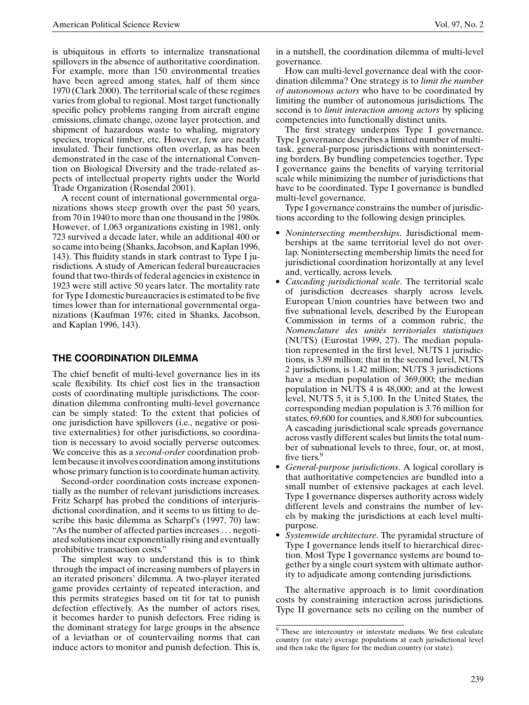is ubiquitous in efforts to internalize transnational spillovers in the absence of authoritative coordination. For example, more than 150 environmental treaties have been agreed among states, half of them since 1970 (Clark 2000). The territorial scale of these regimes varies from global to regional. Most target functionally specific policy problems ranging from aircraft engine emissions, climate change, ozone layer protection, and shipment of hazardous waste to whaling, migratory species, tropical timber, etc. However, few are neatly insulated. Their functions often overlap, as has been demonstrated in the case of the international Convention on Biological Diversity and the trade-related aspects of intellectual property rights under the World Trade Organization (Rosendal 2001).

A recent count of international governmental organizations shows steep growth over the past 50 years, from 70 in 1940 to more than one thousand in the 1980s. However, of 1,063 organizations existing in 1981, only 723 survived a decade later, while an additional 400 or so came into being (Shanks, Jacobson, and Kaplan 1996, 143). This fluidity stands in stark contrast to Type I jurisdictions. A study of American federal bureaucracies found that two-thirds of federal agencies in existence in 1923 were still active 50 years later. The mortality rate for Type I domestic bureaucracies is estimated to be five times lower than for international governmental organizations (Kaufman 1976; cited in Shanks, Jacobson, and Kaplan 1996, 143).

### **THE COORDINATION DILEMMA**

The chief benefit of multi-level governance lies in its scale flexibility. Its chief cost lies in the transaction costs of coordinating multiple jurisdictions. The coordination dilemma confronting multi-level governance can be simply stated: To the extent that policies of one jurisdiction have spillovers (i.e., negative or positive externalities) for other jurisdictions, so coordination is necessary to avoid socially perverse outcomes. We conceive this as a *second-order* coordination problem because it involves coordination among institutions whose primary function is to coordinate human activity.

Second-order coordination costs increase exponentially as the number of relevant jurisdictions increases. Fritz Scharpf has probed the conditions of interjurisdictional coordination, and it seems to us fitting to describe this basic dilemma as Scharpf's (1997, 70) law: "As the number of affected parties increases... negotiated solutions incur exponentially rising and eventually prohibitive transaction costs."

The simplest way to understand this is to think through the impact of increasing numbers of players in an iterated prisoners' dilemma. A two-player iterated game provides certainty of repeated interaction, and this permits strategies based on tit for tat to punish defection effectively. As the number of actors rises, it becomes harder to punish defectors. Free riding is the dominant strategy for large groups in the absence of a leviathan or of countervailing norms that can induce actors to monitor and punish defection. This is, in a nutshell, the coordination dilemma of multi-level governance.

How can multi-level governance deal with the coordination dilemma? One strategy is to *limit the number of autonomous actors* who have to be coordinated by limiting the number of autonomous jurisdictions. The second is to *limit interaction among actors* by splicing competencies into functionally distinct units.

The first strategy underpins Type I governance. Type I governance describes a limited number of multitask, general-purpose jurisdictions with nonintersecting borders. By bundling competencies together, Type I governance gains the benefits of varying territorial scale while minimizing the number of jurisdictions that have to be coordinated. Type I governance is bundled multi-level governance.

Type I governance constrains the number of jurisdictions according to the following design principles.

- *Nonintersecting memberships*. Jurisdictional memberships at the same territorial level do not overlap. Nonintersecting membership limits the need for jurisdictional coordination horizontally at any level and, vertically, across levels. *Cascading jurisdictional scale*. The territorial scale
- of jurisdiction decreases sharply across levels. European Union countries have between two and five subnational levels, described by the European Commission in terms of a common rubric, the *Nomenclature des unites territoriales statistiques ´* (NUTS) (Eurostat 1999, 27). The median population represented in the first level, NUTS 1 jurisdictions, is 3.89 million; that in the second level, NUTS 2 jurisdictions, is 1.42 million; NUTS 3 jurisdictions have a median population of 369,000; the median population in NUTS 4 is 48,000; and at the lowest level, NUTS 5, it is 5,100. In the United States, the corresponding median population is 3.76 million for states, 69,600 for counties, and 8,800 for subcounties. A cascading jurisdictional scale spreads governance across vastly different scales but limits the total number of subnational levels to three, four, or, at most, five tiers.<sup>9</sup>
- *General-purpose jurisdictions*. A logical corollary is that authoritative competencies are bundled into a small number of extensive packages at each level. Type I governance disperses authority across widely different levels and constrains the number of levels by making the jurisdictions at each level multi-
- purpose. *Systemwide architecture*. The pyramidal structure of Type I governance lends itself to hierarchical direction. Most Type I governance systems are bound together by a single court system with ultimate authority to adjudicate among contending jurisdictions.

The alternative approach is to limit coordination costs by constraining interaction across jurisdictions. Type II governance sets no ceiling on the number of

<sup>&</sup>lt;sup>9</sup> These are intercountry or interstate medians. We first calculate country (or state) average populations at each jurisdictional level and then take the figure for the median country (or state).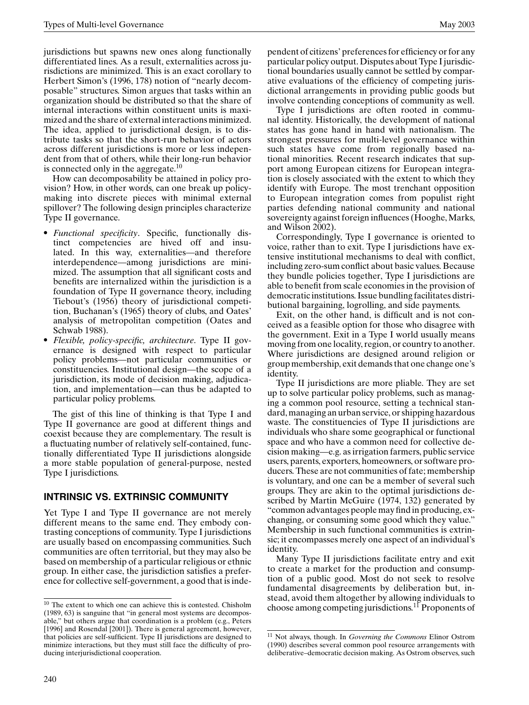jurisdictions but spawns new ones along functionally differentiated lines. As a result, externalities across jurisdictions are minimized. This is an exact corollary to Herbert Simon's (1996, 178) notion of "nearly decomposable" structures. Simon argues that tasks within an organization should be distributed so that the share of internal interactions within constituent units is maximized and the share of external interactions minimized. The idea, applied to jurisdictional design, is to distribute tasks so that the short-run behavior of actors across different jurisdictions is more or less independent from that of others, while their long-run behavior is connected only in the aggregate.<sup>10</sup>

How can decomposability be attained in policy provision? How, in other words, can one break up policymaking into discrete pieces with minimal external spillover? The following design principles characterize Type II governance.

- *Functional specificity*. Specific, functionally distinct competencies are hived off and insulated. In this way, externalities—and therefore interdependence—among jurisdictions are minimized. The assumption that all significant costs and benefits are internalized within the jurisdiction is a foundation of Type II governance theory, including Tiebout's (1956) theory of jurisdictional competition, Buchanan's (1965) theory of clubs, and Oates' analysis of metropolitan competition (Oates and
- Schwab 1988). *Flexible, policy-specific, architecture*. Type II governance is designed with respect to particular policy problems—not particular communities or constituencies. Institutional design—the scope of a jurisdiction, its mode of decision making, adjudication, and implementation—can thus be adapted to particular policy problems.

The gist of this line of thinking is that Type I and Type II governance are good at different things and coexist because they are complementary. The result is a fluctuating number of relatively self-contained, functionally differentiated Type II jurisdictions alongside a more stable population of general-purpose, nested Type I jurisdictions.

# **INTRINSIC VS. EXTRINSIC COMMUNITY**

Yet Type I and Type II governance are not merely different means to the same end. They embody contrasting conceptions of community. Type I jurisdictions are usually based on encompassing communities. Such communities are often territorial, but they may also be based on membership of a particular religious or ethnic group. In either case, the jurisdiction satisfies a preference for collective self-government, a good that is inde-

pendent of citizens' preferences for efficiency or for any particular policy output. Disputes about Type I jurisdictional boundaries usually cannot be settled by comparative evaluations of the efficiency of competing jurisdictional arrangements in providing public goods but involve contending conceptions of community as well.

Type I jurisdictions are often rooted in communal identity. Historically, the development of national states has gone hand in hand with nationalism. The strongest pressures for multi-level governance within such states have come from regionally based national minorities. Recent research indicates that support among European citizens for European integration is closely associated with the extent to which they identify with Europe. The most trenchant opposition to European integration comes from populist right parties defending national community and national sovereignty against foreign influences (Hooghe, Marks, and Wilson 2002).

Correspondingly, Type I governance is oriented to voice, rather than to exit. Type I jurisdictions have extensive institutional mechanisms to deal with conflict, including zero-sum conflict about basic values. Because they bundle policies together, Type I jurisdictions are able to benefit from scale economies in the provision of democratic institutions. Issue bundling facilitates distributional bargaining, logrolling, and side payments.

Exit, on the other hand, is difficult and is not conceived as a feasible option for those who disagree with the government. Exit in a Type I world usually means moving from one locality, region, or country to another. Where jurisdictions are designed around religion or group membership, exit demands that one change one's identity.

Type II jurisdictions are more pliable. They are set up to solve particular policy problems, such as managing a common pool resource, setting a technical standard, managing an urban service, or shipping hazardous waste. The constituencies of Type II jurisdictions are individuals who share some geographical or functional space and who have a common need for collective decision making—e.g. as irrigation farmers, public service users, parents, exporters, homeowners, or software producers. These are not communities of fate; membership is voluntary, and one can be a member of several such groups. They are akin to the optimal jurisdictions described by Martin McGuire (1974, 132) generated by "common advantages people may find in producing, exchanging, or consuming some good which they value." Membership in such functional communities is extrinsic; it encompasses merely one aspect of an individual's identity.

Many Type II jurisdictions facilitate entry and exit to create a market for the production and consumption of a public good. Most do not seek to resolve fundamental disagreements by deliberation but, instead, avoid them altogether by allowing individuals to choose among competing jurisdictions.<sup>11</sup> Proponents of

<sup>10</sup> The extent to which one can achieve this is contested. Chisholm (1989, 63) is sanguine that "in general most systems are decomposable," but others argue that coordination is a problem (e.g., Peters [1996] and Rosendal [2001]). There is general agreement, however, that policies are self-sufficient. Type II jurisdictions are designed to minimize interactions, but they must still face the difficulty of producing interjurisdictional cooperation.

<sup>11</sup> Not always, though. In *Governing the Commons* Elinor Ostrom (1990) describes several common pool resource arrangements with deliberative–democratic decision making. As Ostrom observes, such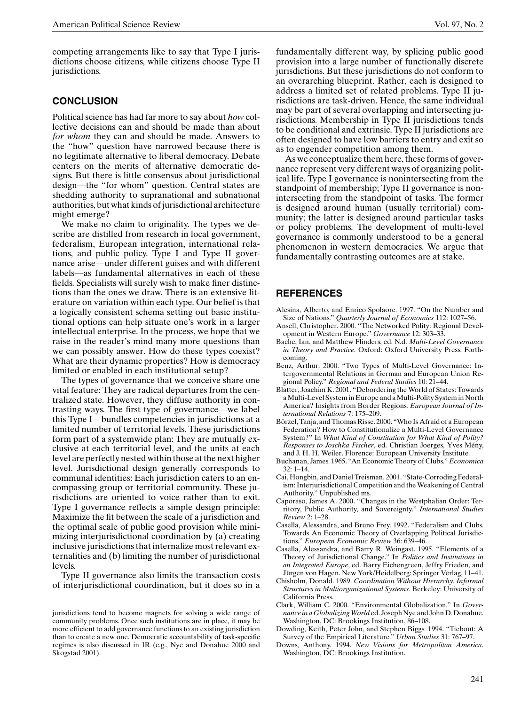competing arrangements like to say that Type I jurisdictions choose citizens, while citizens choose Type II jurisdictions.

### **CONCLUSION**

Political science has had far more to say about *how* collective decisions can and should be made than about *for whom* they can and should be made. Answers to the "how" question have narrowed because there is no legitimate alternative to liberal democracy. Debate centers on the merits of alternative democratic designs. But there is little consensus about jurisdictional design—the "for whom" question. Central states are shedding authority to supranational and subnational authorities, but what kinds of jurisdictional architecture might emerge?

We make no claim to originality. The types we describe are distilled from research in local government, federalism, European integration, international relations, and public policy. Type I and Type II governance arise—under different guises and with different labels—as fundamental alternatives in each of these fields. Specialists will surely wish to make finer distinctions than the ones we draw. There is an extensive literature on variation within each type. Our belief is that a logically consistent schema setting out basic institutional options can help situate one's work in a larger intellectual enterprise. In the process, we hope that we raise in the reader's mind many more questions than we can possibly answer. How do these types coexist? What are their dynamic properties? How is democracy limited or enabled in each institutional setup?

The types of governance that we conceive share one vital feature: They are radical departures from the centralized state. However, they diffuse authority in contrasting ways. The first type of governance—we label this Type I—bundles competencies in jurisdictions at a limited number of territorial levels. These jurisdictions form part of a systemwide plan: They are mutually exclusive at each territorial level, and the units at each level are perfectly nested within those at the next higher level. Jurisdictional design generally corresponds to communal identities: Each jurisdiction caters to an encompassing group or territorial community. These jurisdictions are oriented to voice rather than to exit. Type I governance reflects a simple design principle: Maximize the fit between the scale of a jurisdiction and the optimal scale of public good provision while minimizing interjurisdictional coordination by (a) creating inclusive jurisdictions that internalize most relevant externalities and (b) limiting the number of jurisdictional levels.

Type II governance also limits the transaction costs of interjurisdictional coordination, but it does so in a

fundamentally different way, by splicing public good provision into a large number of functionally discrete jurisdictions. But these jurisdictions do not conform to an overarching blueprint. Rather, each is designed to address a limited set of related problems. Type II jurisdictions are task-driven. Hence, the same individual may be part of several overlapping and intersecting jurisdictions. Membership in Type II jurisdictions tends to be conditional and extrinsic. Type II jurisdictions are often designed to have low barriers to entry and exit so as to engender competition among them.

As we conceptualize them here, these forms of governance represent very different ways of organizing political life. Type I governance is nonintersecting from the standpoint of membership; Type II governance is nonintersecting from the standpoint of tasks. The former is designed around human (usually territorial) community; the latter is designed around particular tasks or policy problems. The development of multi-level governance is commonly understood to be a general phenomenon in western democracies. We argue that fundamentally contrasting outcomes are at stake.

### **REFERENCES**

- Alesina, Alberto, and Enrico Spolaore. 1997. "On the Number and Size of Nations." *Quarterly Journal of Economics* 112: 1027–56.
- Ansell, Christopher. 2000. "The Networked Polity: Regional Development in Western Europe." *Governance* 12: 303–33.
- Bache, Ian, and Matthew Flinders, ed. N.d. *Multi-Level Governance in Theory and Practice*. Oxford: Oxford University Press. Forthcoming.
- Benz, Arthur. 2000. "Two Types of Multi-Level Governance: Intergovernmental Relations in German and European Union Regional Policy." *Regional and Federal Studies* 10: 21–44.
- Blatter, Joachim K. 2001. "Debordering the World of States: Towards a Multi-Level System in Europe and a Multi-Polity System in North America? Insights from Border Regions. *European Journal of International Relations* 7: 175–209.
- Börzel, Tanja, and Thomas Risse. 2000. "Who Is Afraid of a European Federation? How to Constitutionalize a Multi-Level Governance System?" In *What Kind of Constitution for What Kind of Polity? Responses to Joschka Fischer*, ed. Christian Joerges, Yves Mény, and J. H. H. Weiler. Florence: European University Institute.
- Buchanan, James. 1965. "An Economic Theory of Clubs." *Economica* 32: 1–14.
- Cai, Hongbin, and Daniel Treisman. 2001. "State-Corroding Federalism: Interjurisdictional Competition and the Weakening of Central Authority." Unpublished ms.
- Caporaso, James A. 2000. "Changes in the Westphalian Order: Territory, Public Authority, and Sovereignty." *International Studies Review* 2: 1–28.
- Casella, Alessandra, and Bruno Frey. 1992. "Federalism and Clubs. Towards An Economic Theory of Overlapping Political Jurisdictions." *European Economic Review* 36: 639–46.
- Casella, Alessandra, and Barry R. Weingast. 1995. "Elements of a Theory of Jurisdictional Change." In *Politics and Institutions in an Integrated Europe*, ed. Barry Eichengreen, Jeffry Frieden, and Jürgen von Hagen. New York/Heidelberg: Springer Verlag, 11-41.
- Chisholm, Donald. 1989. *Coordination Without Hierarchy. Informal Structures in Multiorganizational Systems*. Berkeley: University of California Press.
- Clark, William C. 2000. "Environmental Globalization." In *Governance in a Globalizing World* ed. Joseph Nye and John D. Donahue. Washington, DC: Brookings Institution, 86–108.
- Dowding, Keith, Peter John, and Stephen Biggs. 1994. "Tiebout: A Survey of the Empirical Literature." *Urban Studies* 31: 767–97.
- Downs, Anthony. 1994. *New Visions for Metropolitan America*. Washington, DC: Brookings Institution.

jurisdictions tend to become magnets for solving a wide range of community problems. Once such institutions are in place, it may be more efficient to add governance functions to an existing jurisdiction than to create a new one. Democratic accountability of task-specific regimes is also discussed in IR (e.g., Nye and Donahue 2000 and Skogstad 2001).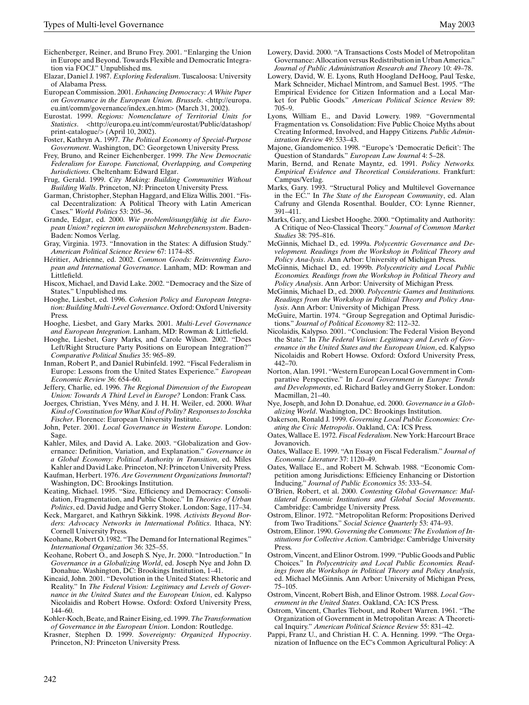- Eichenberger, Reiner, and Bruno Frey. 2001. "Enlarging the Union in Europe and Beyond. Towards Flexible and Democratic Integration via FOCJ." Unpublished ms.
- Elazar, Daniel J. 1987. *Exploring Federalism*. Tuscaloosa: University of Alabama Press.
- European Commission. 2001. *Enhancing Democracy: A White Paper on Governance in the European Union. Brussels*. <http://europa. eu.int/comm/governance/index en.htm> (March 31, 2002).
- Eurostat. 1999. *Regions: Nomenclature of Territorial Units for Statistics*. <http://europa.eu.int/comm/eurostat/Public/datashop/ print-catalogue/> (April 10, 2002).
- Foster, Kathryn A. 1997. *The Political Economy of Special-Purpose Government*. Washington, DC: Georgetown University Press.
- Frey, Bruno, and Reiner Eichenberger. 1999. *The New Democratic Federalism for Europe. Functional, Overlapping, and Competing Jurisdictions*. Cheltenham: Edward Elgar.
- Frug, Gerald. 1999. *City Making: Building Communities Without Building Walls*. Princeton, NJ: Princeton University Press.
- Garman, Christopher, Stephan Haggard, and Eliza Willis. 2001. "Fiscal Decentralization: A Political Theory with Latin American Cases." *World Politics* 53: 205–36.
- Grande, Edgar, ed. 2000. Wie problemlösungsfähig ist die Euro*pean Union? regieren im europaischen Mehrebenensystem ¨* . Baden-Baden: Nomos Verlag.
- Gray, Virginia. 1973. "Innovation in the States: A diffusion Study." *American Political Science Review* 67: 1174–85.
- Héritier, Adrienne, ed. 2002. Common Goods: Reinventing Euro*pean and International Governance*. Lanham, MD: Rowman and Littlefield.
- Hiscox, Michael, and David Lake. 2002. "Democracy and the Size of States." Unpublished ms.
- Hooghe, Liesbet, ed. 1996. *Cohesion Policy and European Integration: Building Multi-Level Governance*. Oxford: Oxford University Press.
- Hooghe, Liesbet, and Gary Marks. 2001. *Multi-Level Governance and European Integration*. Lanham, MD: Rowman & Littlefield.
- Hooghe, Liesbet, Gary Marks, and Carole Wilson. 2002. "Does Left/Right Structure Party Positions on European Integration?" *Comparative Political Studies* 35: 965–89.
- Inman, Robert P., and Daniel Rubinfeld. 1992. "Fiscal Federalism in Europe: Lessons from the United States Experience." *European Economic Review* 36: 654–60.
- Jeffery, Charlie, ed. 1996. *The Regional Dimension of the European Union: Towards A Third Level in Europe?* London: Frank Cass.
- Joerges, Christian, Yves Mény, and J. H. H. Weiler, ed. 2000. What *Kind of Constitution for What Kind of Polity? Responses to Joschka Fischer*. Florence: European University Institute.
- John, Peter. 2001. *Local Governance in Western Europe*. London: Sage.
- Kahler, Miles, and David A. Lake. 2003. "Globalization and Governance: Definition, Variation, and Explanation." *Governance in a Global Economy: Political Authority in Transition*, ed. Miles Kahler and David Lake. Princeton, NJ: Princeton University Press.
- Kaufman, Herbert. 1976. *Are Government Organizations Immortal*? Washington, DC: Brookings Institution.
- Keating, Michael. 1995. "Size, Efficiency and Democracy: Consolidation, Fragmentation, and Public Choice." In *Theories of Urban Politics*, ed. David Judge and Gerry Stoker. London: Sage, 117–34.
- Keck, Margaret, and Kathryn Sikkink. 1998. *Activists Beyond Borders: Advocacy Networks in International Politics*. Ithaca, NY: Cornell University Press.
- Keohane, Robert O. 1982. "The Demand for International Regimes." *International Organization* 36: 325–55.
- Keohane, Robert O., and Joseph S. Nye, Jr. 2000. "Introduction." In *Governance in a Globalizing World*, ed. Joseph Nye and John D. Donahue. Washington, DC: Brookings Institution, 1–41.
- Kincaid, John. 2001. "Devolution in the United States: Rhetoric and Reality." In *The Federal Vision: Legitimacy and Levels of Governance in the United States and the European Union*, ed. Kalypso Nicolaidis and Robert Howse. Oxford: Oxford University Press, 144–60.
- Kohler-Koch, Beate, and Rainer Eising, ed. 1999.*The Transformation of Governance in the European Union*. London: Routledge.
- Krasner, Stephen D. 1999. *Sovereignty: Organized Hypocrisy*. Princeton, NJ: Princeton University Press.
- Lowery, David. 2000. "A Transactions Costs Model of Metropolitan Governance: Allocation versus Redistribution in Urban America." *Journal of Public Administration Research and Theory* 10: 49–78.
- Lowery, David, W. E. Lyons, Ruth Hoogland DeHoog, Paul Teske, Mark Schneider, Michael Mintrom, and Samuel Best. 1995. "The Empirical Evidence for Citizen Information and a Local Market for Public Goods." *American Political Science Review* 89: 705–9.
- Lyons, William E., and David Lowery. 1989. "Governmental Fragmentation vs. Consolidation: Five Public Choice Myths about Creating Informed, Involved, and Happy Citizens. *Public Administration Review* 49: 533–43.
- Majone, Giandomenico. 1998. "Europe's 'Democratic Deficit': The Question of Standards." *European Law Journal* 4: 5–28.
- Marin, Bernd, and Renate Mayntz, ed. 1991. *Policy Networks. Empirical Evidence and Theoretical Considerations*. Frankfurt: Campus/Verlag.
- Marks, Gary. 1993. "Structural Policy and Multilevel Governance in the EC." In *The State of the European Community*, ed. Alan Cafruny and Glenda Rosenthal. Boulder, CO: Lynne Rienner, 391–411.
- Marks, Gary, and Liesbet Hooghe. 2000. "Optimality and Authority: A Critique of Neo-Classical Theory." *Journal of Common Market Studies* 38: 795–816.
- McGinnis, Michael D., ed. 1999a. *Polycentric Governance and Development. Readings from the Workshop in Political Theory and Policy Ana-lysis*. Ann Arbor: University of Michigan Press.
- McGinnis, Michael D., ed. 1999b. *Polycentricity and Local Public Economies. Readings from the Workshop in Political Theory and Policy Analysis*. Ann Arbor: University of Michigan Press.
- McGinnis, Michael D., ed. 2000. *Polycentric Games and Institutions. Readings from the Workshop in Political Theory and Policy Analysis*. Ann Arbor: University of Michigan Press.
- McGuire, Martin. 1974. "Group Segregation and Optimal Jurisdictions." *Journal of Political Economy* 82: 112–32.
- Nicolaidis, Kalypso. 2001. "Conclusion: The Federal Vision Beyond the State." In *The Federal Vision: Legitimacy and Levels of Governance in the United States and the European Union*, ed. Kalypso Nicolaidis and Robert Howse. Oxford: Oxford University Press, 442–70.
- Norton, Alan. 1991. "Western European Local Government in Comparative Perspective." In *Local Government in Europe: Trends and Developments*, ed. Richard Batley and Gerry Stoker. London: Macmillan, 21–40.
- Nye, Joseph, and John D. Donahue, ed. 2000. *Governance in a Globalizing World*. Washington, DC: Brookings Institution.
- Oakerson, Ronald J. 1999. *Governing Local Public Economies: Creating the Civic Metropolis*. Oakland, CA: ICS Press.
- Oates, Wallace E. 1972. *Fiscal Federalism*. New York: Harcourt Brace Jovanovich.
- Oates, Wallace E. 1999. "An Essay on Fiscal Federalism." *Journal of Economic Literature* 37: 1120–49.
- Oates, Wallace E., and Robert M. Schwab. 1988. "Economic Competition among Jurisdictions: Efficiency Enhancing or Distortion Inducing." *Journal of Public Economics* 35: 333–54.
- O'Brien, Robert, et al. 2000. *Contesting Global Governance: Multilateral Economic Institutions and Global Social Movements*. Cambridge: Cambridge University Press.
- Ostrom, Elinor. 1972. "Metropolitan Reform: Propositions Derived from Two Traditions." *Social Science Quarterly* 53: 474–93.
- Ostrom, Elinor. 1990. *Governing the Commons: The Evolution of Institutions for Collective Action*. Cambridge: Cambridge University Press.
- Ostrom, Vincent, and Elinor Ostrom. 1999. "Public Goods and Public Choices." In *Polycentricity and Local Public Economies. Readings from the Workshop in Political Theory and Policy Analysis*, ed. Michael McGinnis. Ann Arbor: University of Michigan Press, 75–105.
- Ostrom, Vincent, Robert Bish, and Elinor Ostrom. 1988. *Local Government in the United States*. Oakland, CA: ICS Press.
- Ostrom, Vincent, Charles Tiebout, and Robert Warren. 1961. "The Organization of Government in Metropolitan Areas: A Theoretical Inquiry." *American Political Science Review* 55: 831–42.
- Pappi, Franz U., and Christian H. C. A. Henning. 1999. "The Organization of Influence on the EC's Common Agricultural Policy: A